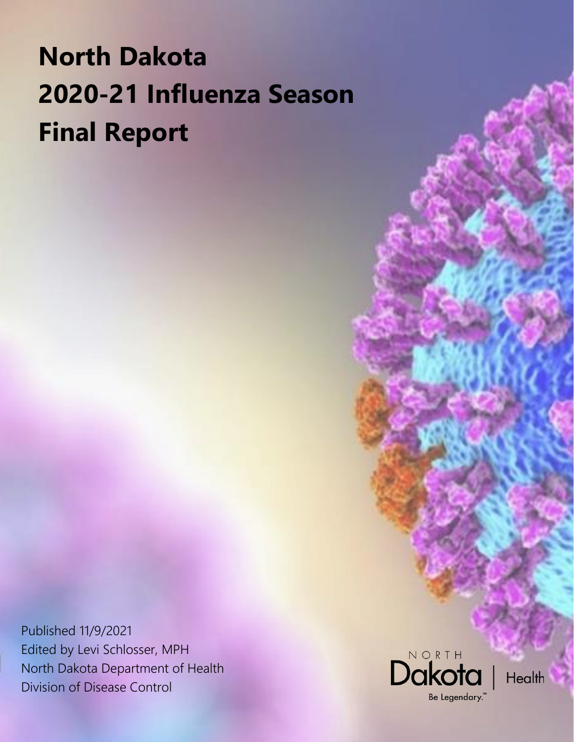# **North Dakota 2020-21 Influenza Season Final Report**

Published 11/9/2021 Edited by Levi Schlosser, MPH North Dakota Department of Health Division of Disease Control



Health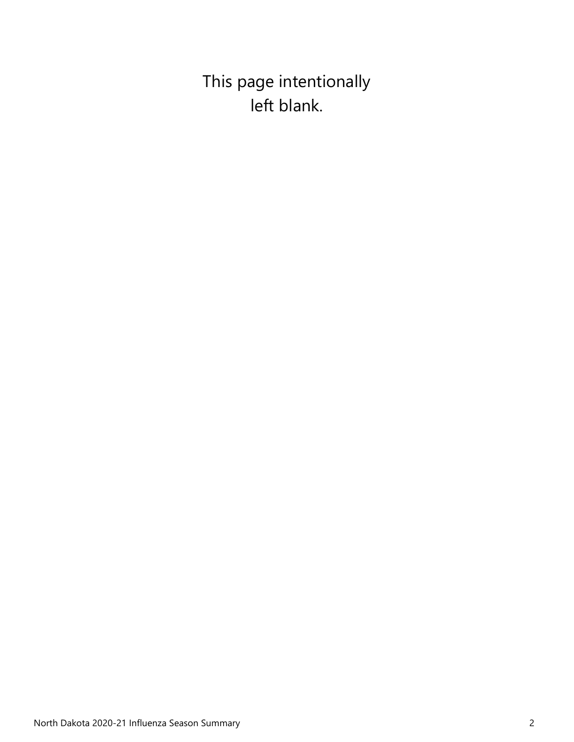This page intentionally left blank.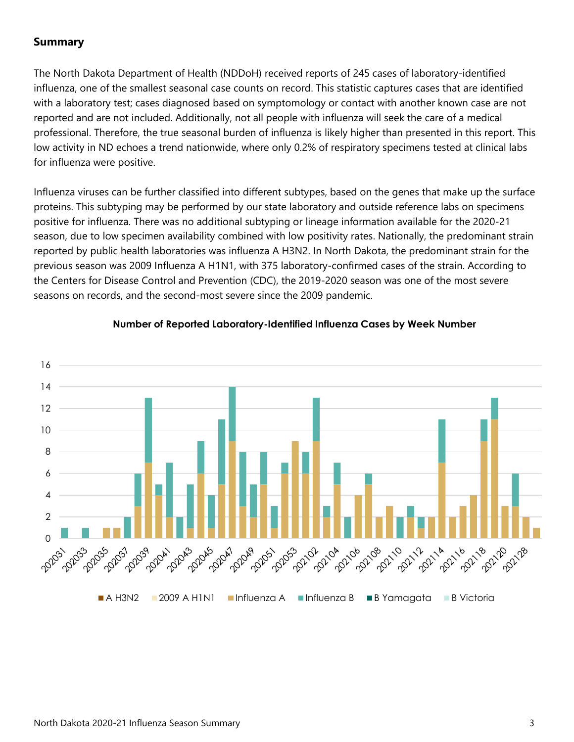# **Summary**

The North Dakota Department of Health (NDDoH) received reports of 245 cases of laboratory-identified influenza, one of the smallest seasonal case counts on record. This statistic captures cases that are identified with a laboratory test; cases diagnosed based on symptomology or contact with another known case are not reported and are not included. Additionally, not all people with influenza will seek the care of a medical professional. Therefore, the true seasonal burden of influenza is likely higher than presented in this report. This low activity in ND echoes a trend nationwide, where only 0.2% of respiratory specimens tested at clinical labs for influenza were positive.

Influenza viruses can be further classified into different subtypes, based on the genes that make up the surface proteins. This subtyping may be performed by our state laboratory and outside reference labs on specimens positive for influenza. There was no additional subtyping or lineage information available for the 2020-21 season, due to low specimen availability combined with low positivity rates. Nationally, the predominant strain reported by public health laboratories was influenza A H3N2. In North Dakota, the predominant strain for the previous season was 2009 Influenza A H1N1, with 375 laboratory-confirmed cases of the strain. According to the Centers for Disease Control and Prevention (CDC), the 2019-2020 season was one of the most severe seasons on records, and the second-most severe since the 2009 pandemic.



#### **Number of Reported Laboratory-Identified Influenza Cases by Week Number**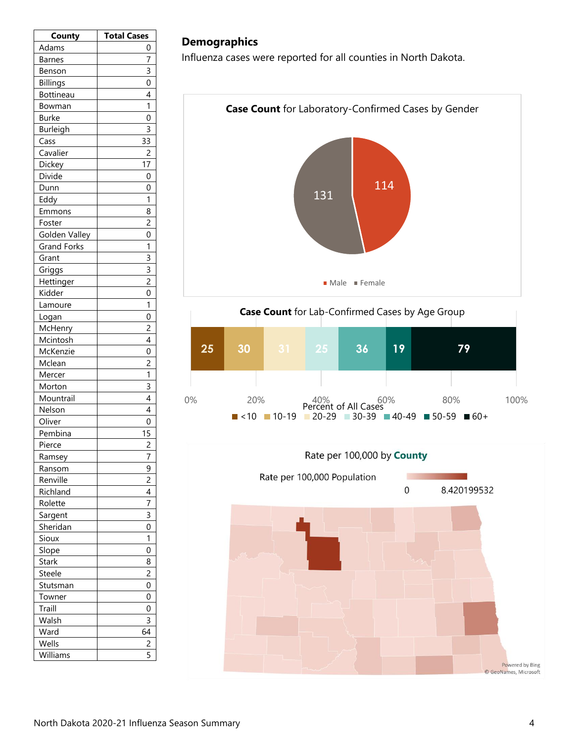| County             | <b>Total Cases</b>      |
|--------------------|-------------------------|
| Adams              | 0                       |
| Barnes             | 7                       |
| Benson             | $\overline{\mathbf{3}}$ |
| <b>Billings</b>    | 0                       |
| Bottineau          | 4                       |
| Bowman             | 1                       |
| <b>Burke</b>       | 0                       |
| Burleigh           | 3                       |
| Cass               | 33                      |
| Cavalier           | $\overline{c}$          |
| Dickey             | 17                      |
| Divide             | 0                       |
| Dunn               | 0                       |
| Eddy               | 1                       |
| Emmons             | 8                       |
| Foster             | 2                       |
|                    | 0                       |
| Golden Valley      |                         |
| <b>Grand Forks</b> | 1                       |
| Grant              | 3                       |
| Griggs             | $\overline{\mathbf{3}}$ |
| Hettinger          | $\overline{c}$          |
| Kidder             | 0                       |
| Lamoure            | $\mathbf{1}$            |
| Logan              | 0                       |
| McHenry            | $\overline{c}$          |
| Mcintosh           | 4                       |
| McKenzie           | 0                       |
| Mclean             | $\overline{c}$          |
| Mercer             | 1                       |
| Morton             | 3                       |
| Mountrail          | 4                       |
| Nelson             | 4                       |
| Oliver             | 0                       |
| Pembina            | 15                      |
| Pierce             | $\overline{c}$          |
| Ram <u>sey</u>     | 7                       |
| Ransom             | 9                       |
| Renville           | $\overline{\mathbf{c}}$ |
| Richland           | 4                       |
| Rolette            | 7                       |
| Sargent            | 3                       |
| Sheridan           | 0                       |
| Sioux              | 1                       |
| Slope              | 0                       |
| Stark              | 8                       |
| Steele             | 2                       |
| Stutsman           | 0                       |
|                    |                         |
| Towner             | 0                       |
| Traill             | 0<br>3                  |
| Walsh              |                         |
| Ward               | 64                      |
| Wells              | 2                       |
| Williams           | 5                       |

# **Demographics**

Influenza cases were reported for all counties in North Dakota.



**25 30 31 25 36 19 79** 0% 20%  $40\%$  60% 80% 100% 100% **Case Count** for Lab-Confirmed Cases by Age Group  $\blacksquare$  <10  $\blacksquare$  10-19  $\blacksquare$  20-29  $\blacksquare$  30-39  $\blacksquare$  40-49  $\blacksquare$  50-59  $\blacksquare$  60+

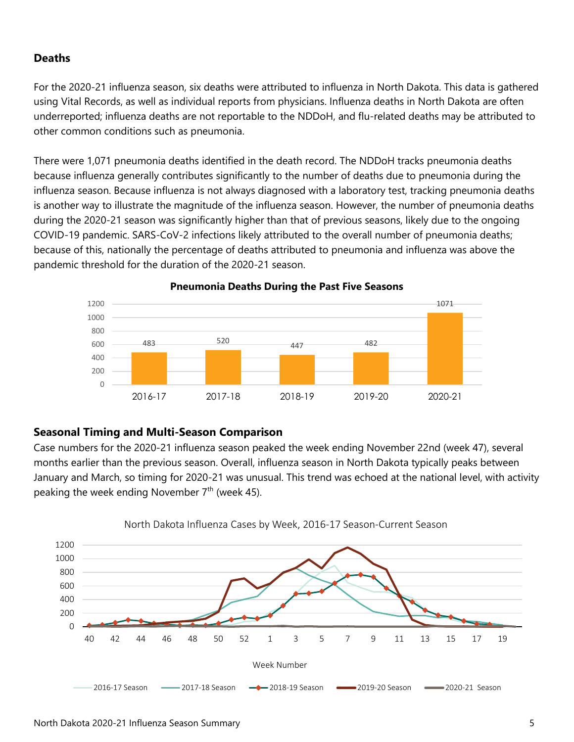## **Deaths**

For the 2020-21 influenza season, six deaths were attributed to influenza in North Dakota. This data is gathered using Vital Records, as well as individual reports from physicians. Influenza deaths in North Dakota are often underreported; influenza deaths are not reportable to the NDDoH, and flu-related deaths may be attributed to other common conditions such as pneumonia.

There were 1,071 pneumonia deaths identified in the death record. The NDDoH tracks pneumonia deaths because influenza generally contributes significantly to the number of deaths due to pneumonia during the influenza season. Because influenza is not always diagnosed with a laboratory test, tracking pneumonia deaths is another way to illustrate the magnitude of the influenza season. However, the number of pneumonia deaths during the 2020-21 season was significantly higher than that of previous seasons, likely due to the ongoing COVID-19 pandemic. SARS-CoV-2 infections likely attributed to the overall number of pneumonia deaths; because of this, nationally the percentage of deaths attributed to pneumonia and influenza was above the pandemic threshold for the duration of the 2020-21 season.



#### **Pneumonia Deaths During the Past Five Seasons**

### **Seasonal Timing and Multi-Season Comparison**

Case numbers for the 2020-21 influenza season peaked the week ending November 22nd (week 47), several months earlier than the previous season. Overall, influenza season in North Dakota typically peaks between January and March, so timing for 2020-21 was unusual. This trend was echoed at the national level, with activity peaking the week ending November  $7<sup>th</sup>$  (week 45).



North Dakota Influenza Cases by Week, 2016-17 Season-Current Season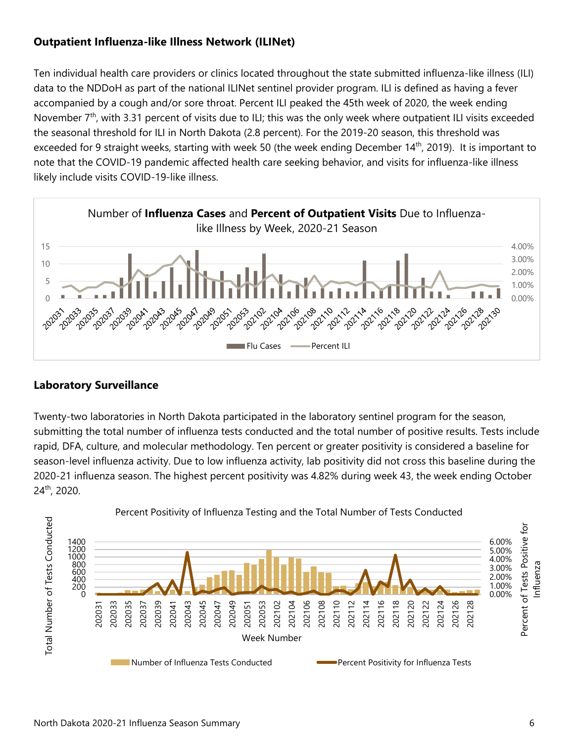# **Outpatient Influenza-like Illness Network (ILINet)**

Ten individual health care providers or clinics located throughout the state submitted influenza-like illness (ILI) data to the NDDoH as part of the national ILINet sentinel provider program. ILI is defined as having a fever accompanied by a cough and/or sore throat. Percent ILI peaked the 45th week of 2020, the week ending November 7<sup>th</sup>, with 3.31 percent of visits due to ILI; this was the only week where outpatient ILI visits exceeded the seasonal threshold for ILI in North Dakota (2.8 percent). For the 2019-20 season, this threshold was exceeded for 9 straight weeks, starting with week 50 (the week ending December 14<sup>th</sup>, 2019). It is important to note that the COVID-19 pandemic affected health care seeking behavior, and visits for influenza-like illness likely include visits COVID-19-like illness.



# **Laboratory Surveillance**

Twenty-two laboratories in North Dakota participated in the laboratory sentinel program for the season, submitting the total number of influenza tests conducted and the total number of positive results. Tests include rapid, DFA, culture, and molecular methodology. Ten percent or greater positivity is considered a baseline for season-level influenza activity. Due to low influenza activity, lab positivity did not cross this baseline during the 2020-21 influenza season. The highest percent positivity was 4.82% during week 43, the week ending October 24th, 2020.